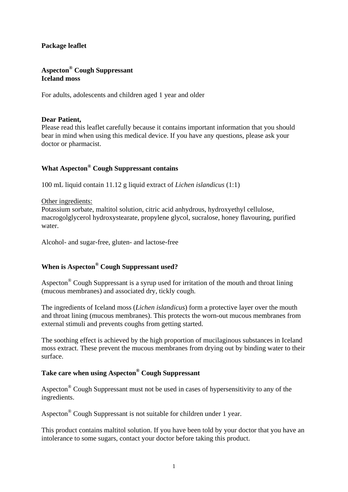## **Package leaflet**

# **Aspecton® Cough Suppressant Iceland moss**

For adults, adolescents and children aged 1 year and older

## **Dear Patient,**

Please read this leaflet carefully because it contains important information that you should bear in mind when using this medical device. If you have any questions, please ask your doctor or pharmacist.

# **What Aspecton® Cough Suppressant contains**

100 mL liquid contain 11.12 g liquid extract of *Lichen islandicus* (1:1)

## Other ingredients:

Potassium sorbate, maltitol solution, citric acid anhydrous, hydroxyethyl cellulose, macrogolglycerol hydroxystearate, propylene glycol, sucralose, honey flavouring, purified water.

Alcohol- and sugar-free, gluten- and lactose-free

# **When is Aspecton® Cough Suppressant used?**

Aspecton® Cough Suppressant is a syrup used for irritation of the mouth and throat lining (mucous membranes) and associated dry, tickly cough.

The ingredients of Iceland moss (*Lichen islandicus*) form a protective layer over the mouth and throat lining (mucous membranes). This protects the worn-out mucous membranes from external stimuli and prevents coughs from getting started.

The soothing effect is achieved by the high proportion of mucilaginous substances in Iceland moss extract. These prevent the mucous membranes from drying out by binding water to their surface.

## **Take care when using Aspecton® Cough Suppressant**

Aspecton® Cough Suppressant must not be used in cases of hypersensitivity to any of the ingredients.

Aspecton® Cough Suppressant is not suitable for children under 1 year.

This product contains maltitol solution. If you have been told by your doctor that you have an intolerance to some sugars, contact your doctor before taking this product.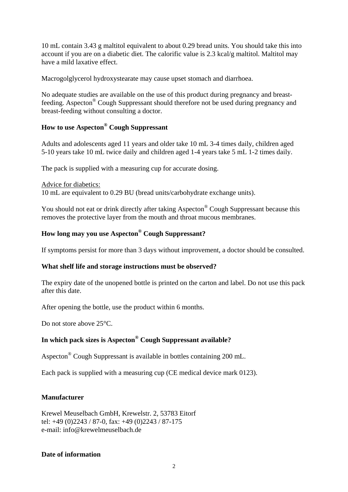10 mL contain 3.43 g maltitol equivalent to about 0.29 bread units. You should take this into account if you are on a diabetic diet. The calorific value is 2.3 kcal/g maltitol. Maltitol may have a mild laxative effect.

Macrogolglycerol hydroxystearate may cause upset stomach and diarrhoea.

No adequate studies are available on the use of this product during pregnancy and breastfeeding. Aspecton® Cough Suppressant should therefore not be used during pregnancy and breast-feeding without consulting a doctor.

## **How to use Aspecton® Cough Suppressant**

Adults and adolescents aged 11 years and older take 10 mL 3-4 times daily, children aged 5-10 years take 10 mL twice daily and children aged 1-4 years take 5 mL 1-2 times daily.

The pack is supplied with a measuring cup for accurate dosing.

#### Advice for diabetics:

10 mL are equivalent to 0.29 BU (bread units/carbohydrate exchange units).

You should not eat or drink directly after taking Aspecton® Cough Suppressant because this removes the protective layer from the mouth and throat mucous membranes.

# **How long may you use Aspecton® Cough Suppressant?**

If symptoms persist for more than 3 days without improvement, a doctor should be consulted.

#### **What shelf life and storage instructions must be observed?**

The expiry date of the unopened bottle is printed on the carton and label. Do not use this pack after this date.

After opening the bottle, use the product within 6 months.

Do not store above 25<sup>°</sup>C.

## **In which pack sizes is Aspecton® Cough Suppressant available?**

Aspecton® Cough Suppressant is available in bottles containing 200 mL.

Each pack is supplied with a measuring cup (CE medical device mark 0123).

## **Manufacturer**

Krewel Meuselbach GmbH, Krewelstr. 2, 53783 Eitorf tel:  $+49$  (0)2243 / 87-0, fax:  $+49$  (0)2243 / 87-175 e-mail: info@krewelmeuselbach.de

#### **Date of information**